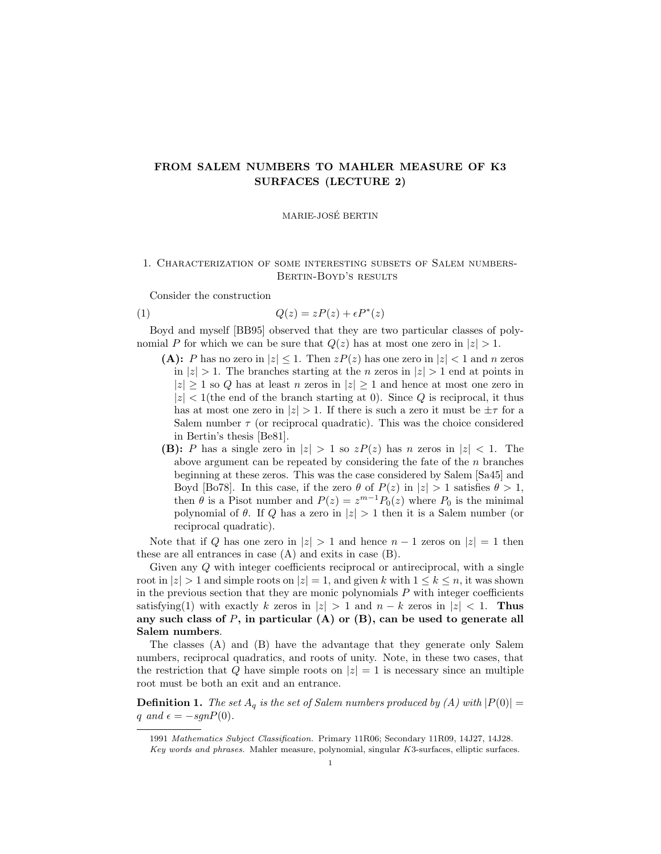# FROM SALEM NUMBERS TO MAHLER MEASURE OF K3 SURFACES (LECTURE 2)

### MARIE-JOSE BERTIN ´

### 1. Characterization of some interesting subsets of Salem numbers-Bertin-Boyd's results

Consider the construction

$$
(1) \tQ(z) = zP(z) + \epsilon P^*(z)
$$

Boyd and myself [BB95] observed that they are two particular classes of polynomial P for which we can be sure that  $Q(z)$  has at most one zero in  $|z| > 1$ .

- (A): P has no zero in  $|z| \leq 1$ . Then  $zP(z)$  has one zero in  $|z| < 1$  and n zeros in  $|z| > 1$ . The branches starting at the *n* zeros in  $|z| > 1$  end at points in  $|z| \geq 1$  so Q has at least n zeros in  $|z| \geq 1$  and hence at most one zero in  $|z|$  < 1(the end of the branch starting at 0). Since Q is reciprocal, it thus has at most one zero in  $|z| > 1$ . If there is such a zero it must be  $\pm \tau$  for a Salem number  $\tau$  (or reciprocal quadratic). This was the choice considered in Bertin's thesis [Be81].
- **(B):** P has a single zero in  $|z| > 1$  so  $zP(z)$  has n zeros in  $|z| < 1$ . The above argument can be repeated by considering the fate of the  $n$  branches beginning at these zeros. This was the case considered by Salem [Sa45] and Boyd [Bo78]. In this case, if the zero  $\theta$  of  $P(z)$  in  $|z| > 1$  satisfies  $\theta > 1$ , then  $\theta$  is a Pisot number and  $P(z) = z^{m-1}P_0(z)$  where  $P_0$  is the minimal polynomial of  $\theta$ . If Q has a zero in  $|z| > 1$  then it is a Salem number (or reciprocal quadratic).

Note that if Q has one zero in  $|z| > 1$  and hence  $n - 1$  zeros on  $|z| = 1$  then these are all entrances in case (A) and exits in case (B).

Given any Q with integer coefficients reciprocal or antireciprocal, with a single root in  $|z| > 1$  and simple roots on  $|z| = 1$ , and given k with  $1 \leq k \leq n$ , it was shown in the previous section that they are monic polynomials  $P$  with integer coefficients satisfying(1) with exactly k zeros in  $|z| > 1$  and  $n - k$  zeros in  $|z| < 1$ . Thus any such class of  $P$ , in particular (A) or (B), can be used to generate all Salem numbers.

The classes (A) and (B) have the advantage that they generate only Salem numbers, reciprocal quadratics, and roots of unity. Note, in these two cases, that the restriction that Q have simple roots on  $|z|=1$  is necessary since an multiple root must be both an exit and an entrance.

**Definition 1.** The set  $A_q$  is the set of Salem numbers produced by (A) with  $|P(0)| =$ q and  $\epsilon = -sgnP(0)$ .

<sup>1991</sup> Mathematics Subject Classification. Primary 11R06; Secondary 11R09, 14J27, 14J28. Key words and phrases. Mahler measure, polynomial, singular K3-surfaces, elliptic surfaces.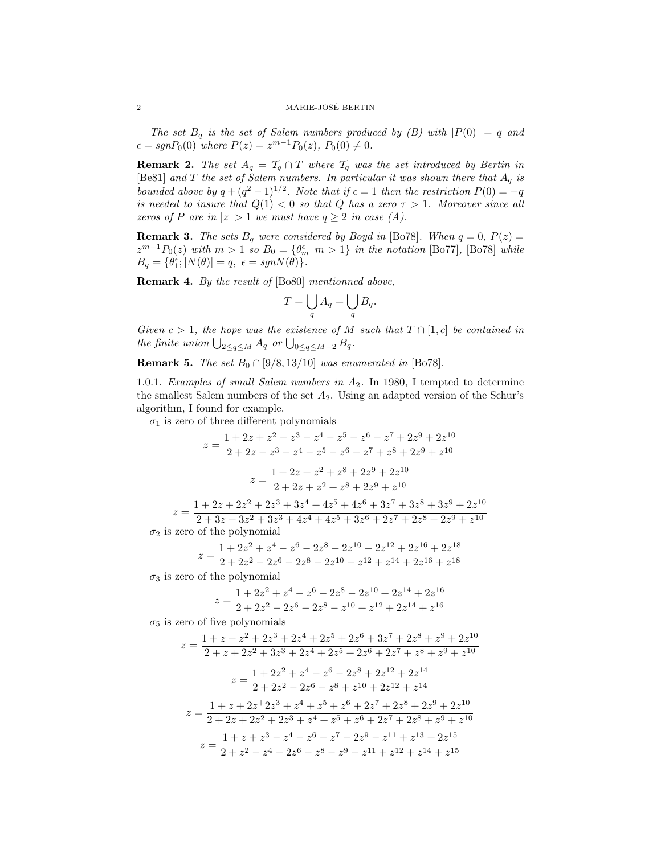The set  $B_q$  is the set of Salem numbers produced by (B) with  $|P(0)| = q$  and  $\epsilon = sgnP_0(0)$  where  $P(z) = z^{m-1}P_0(z), P_0(0) \neq 0.$ 

**Remark 2.** The set  $A_q = T_q \cap T$  where  $T_q$  was the set introduced by Bertin in [Be81] and T the set of Salem numbers. In particular it was shown there that  $A_q$  is bounded above by  $q + (q^2 - 1)^{1/2}$ . Note that if  $\epsilon = 1$  then the restriction  $P(0) = -q$ is needed to insure that  $Q(1) < 0$  so that Q has a zero  $\tau > 1$ . Moreover since all zeros of P are in  $|z| > 1$  we must have  $q \ge 2$  in case (A).

**Remark 3.** The sets  $B_q$  were considered by Boyd in [Bo78]. When  $q = 0$ ,  $P(z) =$  $z^{m-1}P_0(z)$  with  $m>1$  so  $B_0 = {\theta_m^{\epsilon}} m>1$  in the notation [Bo77], [Bo78] while  $B_q = \{ \theta_1^{\epsilon} ; |N(\theta)| = q, \epsilon = sgnN(\theta) \}.$ 

Remark 4. By the result of [Bo80] mentionned above,

$$
T = \bigcup_{q} A_q = \bigcup_{q} B_q.
$$

Given  $c > 1$ , the hope was the existence of M such that  $T \cap [1, c]$  be contained in the finite union  $\bigcup_{2\leq q\leq M} A_q$  or  $\bigcup_{0\leq q\leq M-2} B_q$ .

**Remark 5.** The set  $B_0 \cap [9/8, 13/10]$  was enumerated in [Bo78].

1.0.1. Examples of small Salem numbers in  $A_2$ . In 1980, I tempted to determine the smallest Salem numbers of the set  $A_2$ . Using an adapted version of the Schur's algorithm, I found for example.

 $\sigma_1$  is zero of three different polynomials

$$
z = \frac{1 + 2z + z^2 - z^3 - z^4 - z^5 - z^6 - z^7 + 2z^9 + 2z^{10}}{2 + 2z - z^3 - z^4 - z^5 - z^6 - z^7 + z^8 + 2z^9 + z^{10}}
$$

$$
z = \frac{1 + 2z + z^2 + z^8 + 2z^9 + 2z^{10}}{2 + 2z + z^2 + z^8 + 2z^9 + z^{10}}
$$

$$
z = \frac{1 + 2z + 2z^2 + 2z^3 + 3z^4 + 4z^5 + 4z^6 + 3z^7 + 3z^8 + 3z^9 + 2z^{10}}{2 + 3z + 3z^2 + 3z^3 + 4z^4 + 4z^5 + 3z^6 + 2z^7 + 2z^8 + 2z^9 + z^{10}}
$$
 $\sigma_2$  is zero of the polynomial

$$
z=\frac{1+2z^2+z^4-z^6-2z^8-2z^{10}-2z^{12}+2z^{16}+2z^{18}}{2+2z^2-2z^6-2z^8-2z^{10}-z^{12}+z^{14}+2z^{16}+z^{18}}
$$

 $\sigma_3$  is zero of the polynomial

$$
z = \frac{1 + 2z^2 + z^4 - z^6 - 2z^8 - 2z^{10} + 2z^{14} + 2z^{16}}{2 + 2z^2 - 2z^6 - 2z^8 - z^{10} + z^{12} + 2z^{14} + z^{16}}
$$

 $\sigma_5$  is zero of five polynomials

$$
z = \frac{1 + z + z^2 + 2z^3 + 2z^4 + 2z^5 + 2z^6 + 3z^7 + 2z^8 + z^9 + 2z^{10}}{2 + z + 2z^2 + 3z^3 + 2z^4 + 2z^5 + 2z^6 + 2z^7 + z^8 + z^9 + z^{10}}
$$
  
\n
$$
z = \frac{1 + 2z^2 + z^4 - z^6 - 2z^8 + 2z^{12} + 2z^{14}}{2 + 2z^2 - 2z^6 - z^8 + z^{10} + 2z^{12} + z^{14}}
$$
  
\n
$$
z = \frac{1 + z + 2z^2 + 2z^3 + z^4 + z^5 + z^6 + 2z^7 + 2z^8 + 2z^9 + 2z^{10}}{2 + 2z + 2z^2 + 2z^3 + z^4 + z^5 + z^6 + 2z^7 + 2z^8 + z^9 + z^{10}}
$$
  
\n
$$
z = \frac{1 + z + z^3 - z^4 - z^6 - z^7 - 2z^9 - z^{11} + z^{13} + 2z^{15}}{2 + z^2 - z^4 - 2z^6 - z^8 - z^9 - z^{11} + z^{12} + z^{14} + z^{15}}
$$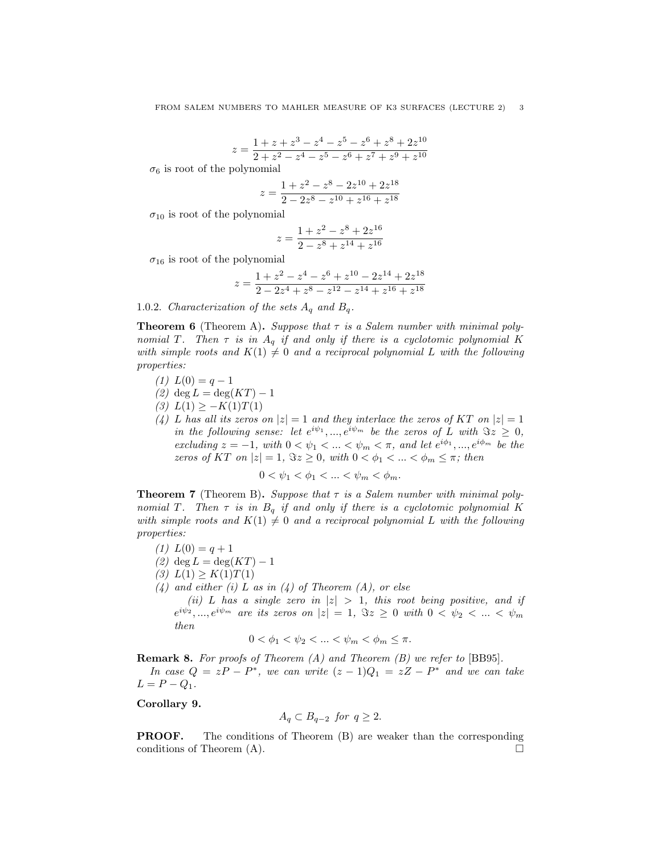$$
z = \frac{1+z+z^3-z^4-z^5-z^6+z^8+2z^{10}}{2+z^2-z^4-z^5-z^6+z^7+z^9+z^{10}}
$$

 $\sigma_6$  is root of the polynomial

$$
z = \frac{1+z^2-z^8-2z^{10}+2z^{18}}{2-2z^8-z^{10}+z^{16}+z^{18}}
$$

 $\sigma_{10}$  is root of the polynomial

$$
z = \frac{1 + z^2 - z^8 + 2z^{16}}{2 - z^8 + z^{14} + z^{16}}
$$

 $\sigma_{16}$  is root of the polynomial

$$
z = \frac{1+z^2-z^4-z^6+z^{10}-2z^{14}+2z^{18}}{2-2z^4+z^8-z^{12}-z^{14}+z^{16}+z^{18}}
$$

1.0.2. Characterization of the sets  $A_q$  and  $B_q$ .

**Theorem 6** (Theorem A). Suppose that  $\tau$  is a Salem number with minimal polynomial T. Then  $\tau$  is in  $A_q$  if and only if there is a cyclotomic polynomial K with simple roots and  $K(1) \neq 0$  and a reciprocal polynomial L with the following properties:

- $(1) L(0) = q 1$
- (2) deg  $L = \deg(KT) 1$
- (3)  $L(1) \geq -K(1)T(1)$
- (4) L has all its zeros on  $|z|=1$  and they interlace the zeros of KT on  $|z|=1$ in the following sense: let  $e^{i\psi_1},...,e^{i\psi_m}$  be the zeros of L with  $\Im z \geq 0$ , excluding  $z = -1$ , with  $0 < \psi_1 < \ldots < \psi_m < \pi$ , and let  $e^{i\phi_1}, \ldots, e^{i\phi_m}$  be the zeros of KT on  $|z|=1$ ,  $\Im z\geq 0$ , with  $0<\phi_1<...<\phi_m\leq \pi$ ; then

$$
0 < \psi_1 < \phi_1 < \ldots < \psi_m < \phi_m.
$$

**Theorem 7** (Theorem B). Suppose that  $\tau$  is a Salem number with minimal polynomial T. Then  $\tau$  is in  $B_q$  if and only if there is a cyclotomic polynomial K with simple roots and  $K(1) \neq 0$  and a reciprocal polynomial L with the following properties:

$$
(1) \ L(0) = q + 1
$$

- (2) deg  $L = \deg(KT) 1$
- (3)  $L(1) \geq K(1)T(1)$
- $(4)$  and either (i) L as in (4) of Theorem (A), or else
	- (ii) L has a single zero in  $|z| > 1$ , this root being positive, and if  $e^{i\psi_2},...,e^{i\psi_m}$  are its zeros on  $|z|=1, \ \Im z \geq 0$  with  $0<\psi_2<...<\psi_m$ then

$$
0 < \phi_1 < \psi_2 < \ldots < \psi_m < \phi_m \leq \pi.
$$

**Remark 8.** For proofs of Theorem  $(A)$  and Theorem  $(B)$  we refer to  $[BB95]$ . In case  $Q = zP - P^*$ , we can write  $(z - 1)Q_1 = zZ - P^*$  and we can take  $L = P - Q_1$ .

Corollary 9.

$$
A_q \subset B_{q-2} \text{ for } q \ge 2.
$$

**PROOF.** The conditions of Theorem (B) are weaker than the corresponding conditions of Theorem  $(A)$ .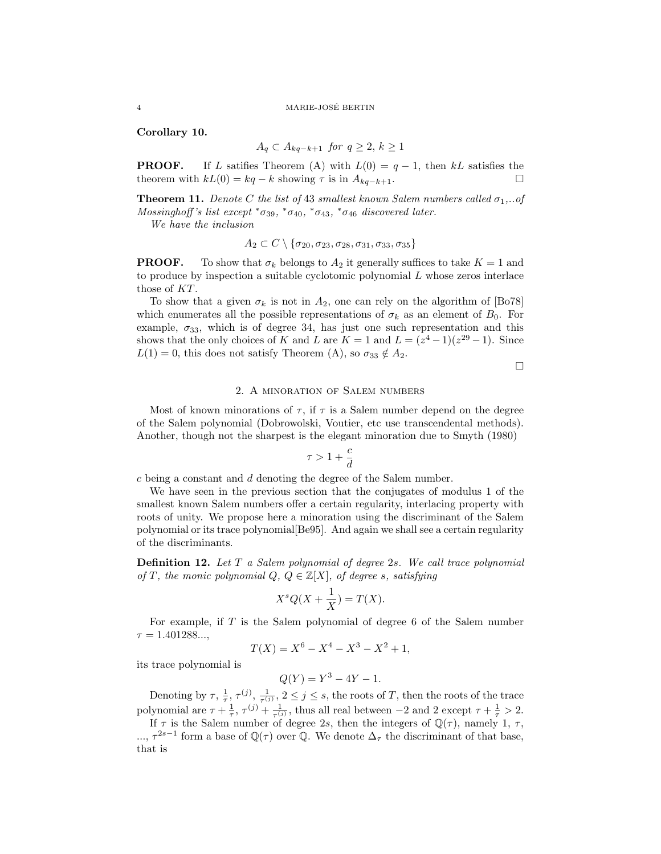#### 4 MARIE-JOSE BERTIN ´

Corollary 10.

$$
A_q \subset A_{kq-k+1} \text{ for } q \ge 2, k \ge 1
$$

**PROOF.** If L satifies Theorem (A) with  $L(0) = q - 1$ , then kL satisfies the theorem with  $kL(0) = kq - k$  showing  $\tau$  is in  $A_{kq-k+1}$ .

**Theorem 11.** Denote C the list of 43 smallest known Salem numbers called  $\sigma_1$ ,...of Mossinghoff's list except  $*\sigma_{39}$ ,  $*\sigma_{40}$ ,  $*\sigma_{43}$ ,  $*\sigma_{46}$  discovered later.

We have the inclusion

$$
A_2 \subset C \setminus \{\sigma_{20}, \sigma_{23}, \sigma_{28}, \sigma_{31}, \sigma_{33}, \sigma_{35}\}\
$$

**PROOF.** To show that  $\sigma_k$  belongs to  $A_2$  it generally suffices to take  $K = 1$  and to produce by inspection a suitable cyclotomic polynomial L whose zeros interlace those of KT.

To show that a given  $\sigma_k$  is not in  $A_2$ , one can rely on the algorithm of [Bo78] which enumerates all the possible representations of  $\sigma_k$  as an element of  $B_0$ . For example,  $\sigma_{33}$ , which is of degree 34, has just one such representation and this shows that the only choices of K and L are  $K = 1$  and  $L = (z^4 - 1)(z^{29} - 1)$ . Since  $L(1) = 0$ , this does not satisfy Theorem (A), so  $\sigma_{33} \notin A_2$ .

$$
\Box
$$

## 2. A minoration of Salem numbers

Most of known minorations of  $\tau$ , if  $\tau$  is a Salem number depend on the degree of the Salem polynomial (Dobrowolski, Voutier, etc use transcendental methods). Another, though not the sharpest is the elegant minoration due to Smyth (1980)

$$
\tau>1+\frac{c}{d}
$$

c being a constant and d denoting the degree of the Salem number.

We have seen in the previous section that the conjugates of modulus 1 of the smallest known Salem numbers offer a certain regularity, interlacing property with roots of unity. We propose here a minoration using the discriminant of the Salem polynomial or its trace polynomial[Be95]. And again we shall see a certain regularity of the discriminants.

**Definition 12.** Let  $T$  a Salem polynomial of degree 2s. We call trace polynomial of T, the monic polynomial  $Q, Q \in \mathbb{Z}[X]$ , of degree s, satisfying

$$
X^s Q(X + \frac{1}{X}) = T(X).
$$

For example, if  $T$  is the Salem polynomial of degree 6 of the Salem number  $\tau = 1.401288...$ 

$$
T(X) = X^6 - X^4 - X^3 - X^2 + 1,
$$

its trace polynomial is

$$
Q(Y) = Y^3 - 4Y - 1.
$$

Denoting by  $\tau$ ,  $\frac{1}{\tau}$ ,  $\tau^{(j)}$ ,  $\frac{1}{\tau^{(j)}}$ ,  $2 \leq j \leq s$ , the roots of T, then the roots of the trace polynomial are  $\tau + \frac{1}{\tau}$ ,  $\tau^{(j)} + \frac{1}{\tau^{(j)}}$ , thus all real between  $-2$  and  $2$  except  $\tau + \frac{1}{\tau} > 2$ .

If  $\tau$  is the Salem number of degree 2s, then the integers of  $\mathbb{Q}(\tau)$ , namely 1,  $\tau$ , ...,  $\tau^{2s-1}$  form a base of  $\mathbb{Q}(\tau)$  over  $\mathbb{Q}$ . We denote  $\Delta_{\tau}$  the discriminant of that base, that is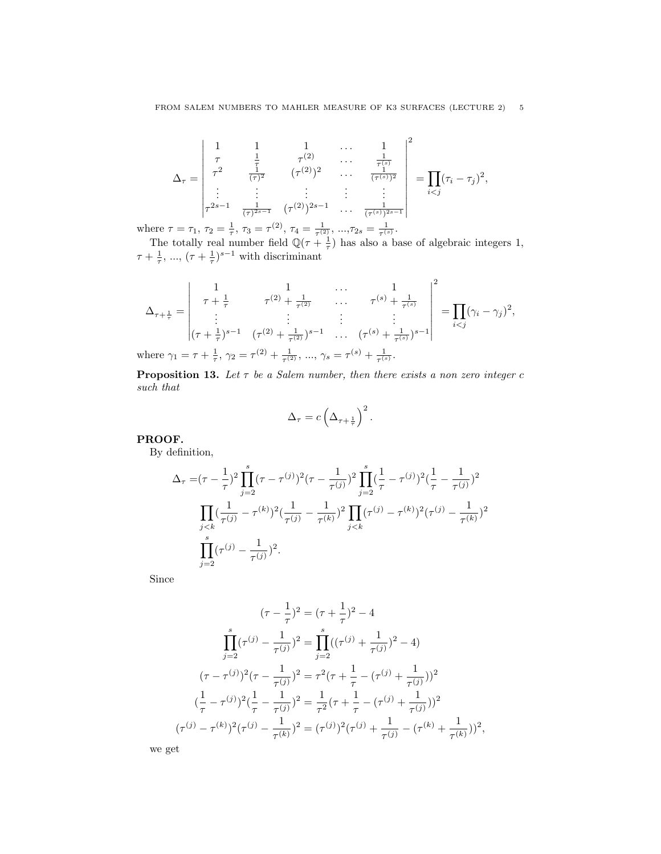$$
\Delta_{\tau} = \begin{vmatrix} 1 & 1 & 1 & \dots & 1 \\ \tau & \frac{1}{\tau} & \tau^{(2)} & \dots & \frac{1}{\tau^{(s)}} \\ \tau^2 & \frac{1}{(\tau)^2} & (\tau^{(2)})^2 & \dots & \frac{1}{(\tau^{(s)})^2} \\ \vdots & \vdots & \vdots & \vdots & \vdots \\ \tau^{2s-1} & \frac{1}{(\tau)^{2s-1}} & (\tau^{(2)})^{2s-1} & \dots & \frac{1}{(\tau^{(s)})^{2s-1}} \end{vmatrix} = \prod_{i < j} (\tau_i - \tau_j)^2,
$$

where  $\tau = \tau_1$ ,  $\tau_2 = \frac{1}{\tau}$ ,  $\tau_3 = \tau^{(2)}$ ,  $\tau_4 = \frac{1}{\tau^{(2)}}$ , ...,  $\tau_{2s} = \frac{1}{\tau^{(s)}}$ .

The totally real number field  $\mathbb{Q}(\tau + \frac{1}{\tau})$  has also a base of algebraic integers 1,  $\tau + \frac{1}{\tau}, \dots, (\tau + \frac{1}{\tau})^{s-1}$  with discriminant

$$
\Delta_{\tau+\frac{1}{\tau}} = \begin{vmatrix} 1 & 1 & \cdots & 1 \\ \tau + \frac{1}{\tau} & \tau^{(2)} + \frac{1}{\tau^{(2)}} & \cdots & \tau^{(s)} + \frac{1}{\tau^{(s)}} \\ \vdots & \vdots & \ddots & \vdots \\ (\tau + \frac{1}{\tau})^{s-1} & (\tau^{(2)} + \frac{1}{\tau^{(2)}})^{s-1} & \cdots & (\tau^{(s)} + \frac{1}{\tau^{(s)}})^{s-1} \end{vmatrix}^2 = \prod_{i < j} (\gamma_i - \gamma_j)^2,
$$
\nwhere  $\alpha_i = \tau + \frac{1}{\tau} \alpha_i = \tau^{(2)} + \frac{1}{\tau^{(2)}} \alpha_i = \tau^{(s)} + \frac{1}{\tau^{(s)}} \alpha_i = \tau^{(s)} + \frac{1}{\tau^{(s)}} \alpha_i$ 

where  $\gamma_1 = \tau + \frac{1}{\tau}, \, \gamma_2 = \tau^{(2)} + \frac{1}{\tau^{(2)}}, \, ..., \, \gamma_s = \tau^{(s)} + \frac{1}{\tau^{(s)}}.$ 

**Proposition 13.** Let  $\tau$  be a Salem number, then there exists a non zero integer c such that

$$
\Delta_{\tau} = c \left( \Delta_{\tau + \frac{1}{\tau}} \right)^2.
$$

# PROOF.

By definition,

$$
\Delta_{\tau} = (\tau - \frac{1}{\tau})^2 \prod_{j=2}^s (\tau - \tau^{(j)})^2 (\tau - \frac{1}{\tau^{(j)}})^2 \prod_{j=2}^s (\frac{1}{\tau} - \tau^{(j)})^2 (\frac{1}{\tau} - \frac{1}{\tau^{(j)}})^2
$$

$$
\prod_{j < k} (\frac{1}{\tau^{(j)}} - \tau^{(k)})^2 (\frac{1}{\tau^{(j)}} - \frac{1}{\tau^{(k)}})^2 \prod_{j < k} (\tau^{(j)} - \tau^{(k)})^2 (\tau^{(j)} - \frac{1}{\tau^{(k)}})^2
$$

$$
\prod_{j=2}^s (\tau^{(j)} - \frac{1}{\tau^{(j)}})^2.
$$

Since

$$
(\tau - \frac{1}{\tau})^2 = (\tau + \frac{1}{\tau})^2 - 4
$$

$$
\prod_{j=2}^s (\tau^{(j)} - \frac{1}{\tau^{(j)}})^2 = \prod_{j=2}^s ((\tau^{(j)} + \frac{1}{\tau^{(j)}})^2 - 4)
$$

$$
(\tau - \tau^{(j)})^2 (\tau - \frac{1}{\tau^{(j)}})^2 = \tau^2 (\tau + \frac{1}{\tau} - (\tau^{(j)} + \frac{1}{\tau^{(j)}}))^2
$$

$$
(\frac{1}{\tau} - \tau^{(j)})^2 (\frac{1}{\tau} - \frac{1}{\tau^{(j)}})^2 = \frac{1}{\tau^2} (\tau + \frac{1}{\tau} - (\tau^{(j)} + \frac{1}{\tau^{(j)}}))^2
$$

$$
(\tau^{(j)} - \tau^{(k)})^2 (\tau^{(j)} - \frac{1}{\tau^{(k)}})^2 = (\tau^{(j)})^2 (\tau^{(j)} + \frac{1}{\tau^{(j)}} - (\tau^{(k)} + \frac{1}{\tau^{(k)}}))^2,
$$

we get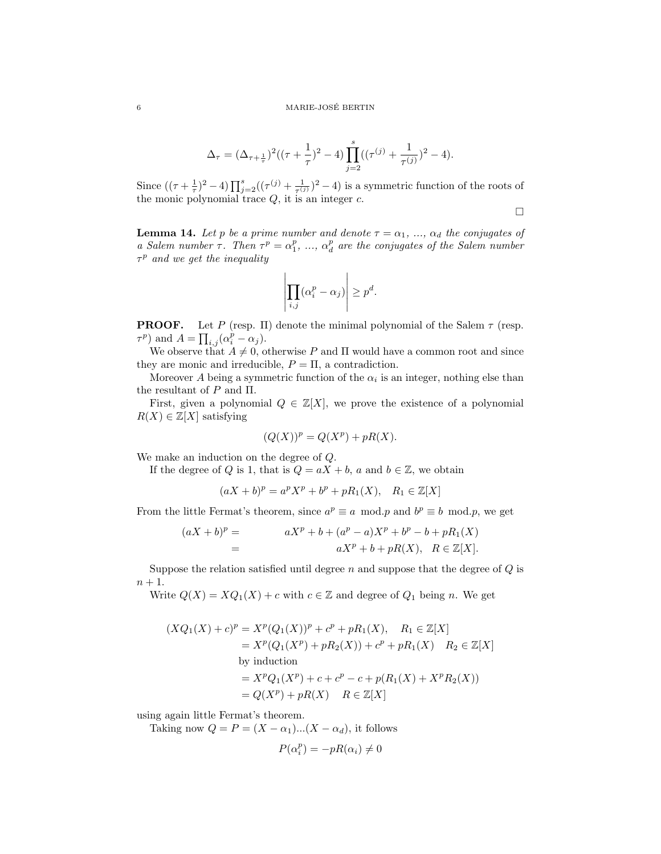$$
\Delta_{\tau} = (\Delta_{\tau + \frac{1}{\tau}})^2 ((\tau + \frac{1}{\tau})^2 - 4) \prod_{j=2}^{s} ((\tau^{(j)} + \frac{1}{\tau^{(j)}})^2 - 4).
$$

Since  $((\tau + \frac{1}{\tau})^2 - 4) \prod_{j=2}^s ((\tau^{(j)} + \frac{1}{\tau^{(j)}})^2 - 4)$  is a symmetric function of the roots of the monic polynomial trace  $Q$ , it is an integer  $c$ .

 $\Box$ 

**Lemma 14.** Let p be a prime number and denote  $\tau = \alpha_1, \ldots, \alpha_d$  the conjugates of a Salem number  $\tau$ . Then  $\tau^p = \alpha_1^p$ , ...,  $\alpha_d^p$  are the conjugates of the Salem number  $\tau^p$  and we get the inequality

$$
\left| \prod_{i,j} (\alpha_i^p - \alpha_j) \right| \ge p^d.
$$

**PROOF.** Let P (resp. II) denote the minimal polynomial of the Salem  $\tau$  (resp.  $\tau^p$ ) and  $A = \prod_{i,j} (\alpha_i^p - \alpha_j)$ .

We observe that  $A \neq 0$ , otherwise P and  $\Pi$  would have a common root and since they are monic and irreducible,  $P = \Pi$ , a contradiction.

Moreover A being a symmetric function of the  $\alpha_i$  is an integer, nothing else than the resultant of  $P$  and  $\Pi.$ 

First, given a polynomial  $Q \in \mathbb{Z}[X]$ , we prove the existence of a polynomial  $R(X) \in \mathbb{Z}[X]$  satisfying

$$
(Q(X))^p = Q(X^p) + pR(X).
$$

We make an induction on the degree of Q.

If the degree of Q is 1, that is  $Q = aX + b$ , a and  $b \in \mathbb{Z}$ , we obtain

$$
(aX + b)^p = a^p X^p + b^p + pR_1(X), \quad R_1 \in \mathbb{Z}[X]
$$

From the little Fermat's theorem, since  $a^p \equiv a \mod p$  and  $b^p \equiv b \mod p$ , we get

$$
(aX + b)^p = aX^p + b + (a^p - a)X^p + b^p - b + pR_1(X)
$$
  
= 
$$
aX^p + b + pR(X), \quad R \in \mathbb{Z}[X].
$$

Suppose the relation satisfied until degree  $n$  and suppose that the degree of  $Q$  is  $n+1$ .

Write  $Q(X) = XQ_1(X) + c$  with  $c \in \mathbb{Z}$  and degree of  $Q_1$  being n. We get

$$
(XQ_1(X) + c)^p = X^p(Q_1(X))^p + c^p + pR_1(X), \quad R_1 \in \mathbb{Z}[X]
$$
  
=  $X^p(Q_1(X^p) + pR_2(X)) + c^p + pR_1(X) \quad R_2 \in \mathbb{Z}[X]$   
by induction  
=  $X^pQ_1(X^p) + c + c^p - c + p(R_1(X) + X^pR_2(X))$   
=  $Q(X^p) + pR(X) \quad R \in \mathbb{Z}[X]$ 

using again little Fermat's theorem.

Taking now  $Q = P = (X - \alpha_1)...(X - \alpha_d)$ , it follows

$$
P(\alpha_i^p) = -pR(\alpha_i) \neq 0
$$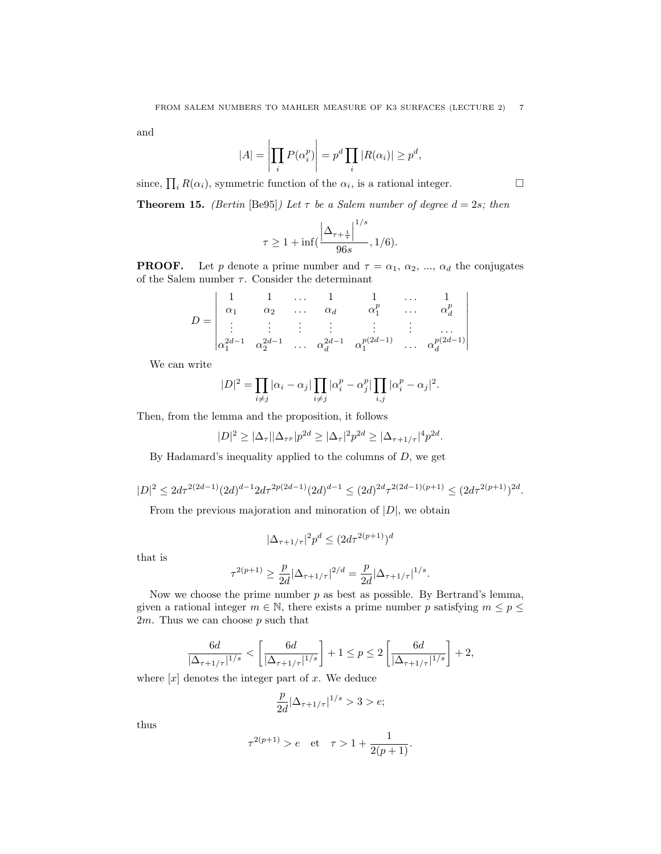and

$$
|A| = \left| \prod_i P(\alpha_i^p) \right| = p^d \prod_i |R(\alpha_i)| \ge p^d,
$$

since,  $\prod_i R(\alpha_i)$ , symmetric function of the  $\alpha_i$ , is a rational integer.

**Theorem 15.** (Bertin [Be95]) Let  $\tau$  be a Salem number of degree  $d = 2s$ ; then

$$
\tau \ge 1 + \inf \Bigl( \frac{\left| \Delta_{\tau + \frac{1}{\tau}} \right|^{1/s}}{96s}, 1/6 \Bigr).
$$

**PROOF.** Let p denote a prime number and  $\tau = \alpha_1, \alpha_2, ..., \alpha_d$  the conjugates of the Salem number  $\tau$ . Consider the determinant

$$
D = \begin{vmatrix} 1 & 1 & \dots & 1 & 1 & \dots & 1 \\ \alpha_1 & \alpha_2 & \dots & \alpha_d & \alpha_1^p & \dots & \alpha_d^p \\ \vdots & \vdots & \vdots & \vdots & \vdots & \vdots & \vdots \\ \alpha_1^{2d-1} & \alpha_2^{2d-1} & \dots & \alpha_d^{2d-1} & \alpha_1^{p(2d-1)} & \dots & \alpha_d^{p(2d-1)} \end{vmatrix}
$$

We can write

$$
|D|^2 = \prod_{i \neq j} |\alpha_i - \alpha_j| \prod_{i \neq j} |\alpha_i^p - \alpha_j^p| \prod_{i,j} |\alpha_i^p - \alpha_j|^2.
$$

Then, from the lemma and the proposition, it follows

$$
|D|^2 \ge |\Delta_{\tau}| |\Delta_{\tau^p}| p^{2d} \ge |\Delta_{\tau}|^2 p^{2d} \ge |\Delta_{\tau+1/\tau}|^4 p^{2d}.
$$

By Hadamard's inequality applied to the columns of  $D$ , we get

$$
|D|^2\leq 2d\tau^{2(2d-1)}(2d)^{d-1}2d\tau^{2p(2d-1)}(2d)^{d-1}\leq (2d)^{2d}\tau^{2(2d-1)(p+1)}\leq (2d\tau^{2(p+1)})^{2d}.
$$

From the previous majoration and minoration of  $|D|$ , we obtain

$$
|\Delta_{\tau+1/\tau}|^2p^d\leq (2d\tau^{2(p+1)})^d
$$

that is

$$
\tau^{2(p+1)} \ge \frac{p}{2d} |\Delta_{\tau+1/\tau}|^{2/d} = \frac{p}{2d} |\Delta_{\tau+1/\tau}|^{1/s}.
$$

Now we choose the prime number  $p$  as best as possible. By Bertrand's lemma, given a rational integer  $m \in \mathbb{N}$ , there exists a prime number p satisfying  $m \le p \le$ 2m. Thus we can choose  $p$  such that

$$
\frac{6d}{|\Delta_{\tau+1/\tau}|^{1/s}} < \left[\frac{6d}{|\Delta_{\tau+1/\tau}|^{1/s}}\right] + 1 \leq p \leq 2\left[\frac{6d}{|\Delta_{\tau+1/\tau}|^{1/s}}\right] + 2,
$$

where  $[x]$  denotes the integer part of x. We deduce

$$
\frac{p}{2d}|\Delta_{\tau+1/\tau}|^{1/s}>3>\epsilon;
$$

thus

$$
\tau^{2(p+1)} > e
$$
 et  $\tau > 1 + \frac{1}{2(p+1)}$ .